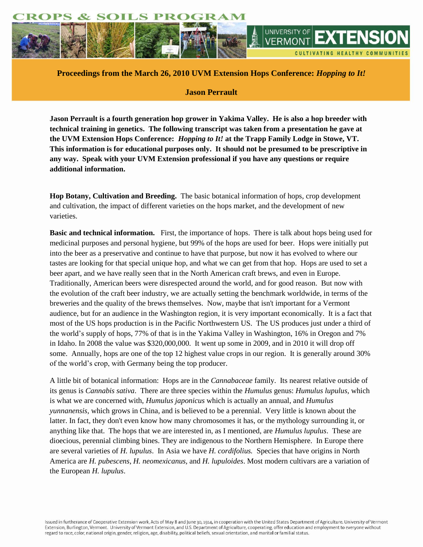

**Proceedings from the March 26, 2010 UVM Extension Hops Conference:** *Hopping to It!*

# **Jason Perrault**

**Jason Perrault is a fourth generation hop grower in Yakima Valley. He is also a hop breeder with technical training in genetics. The following transcript was taken from a presentation he gave at the UVM Extension Hops Conference:** *Hopping to It!* **at the Trapp Family Lodge in Stowe, VT. This information is for educational purposes only. It should not be presumed to be prescriptive in any way. Speak with your UVM Extension professional if you have any questions or require additional information.**

**Hop Botany, Cultivation and Breeding.** The basic botanical information of hops, crop development and cultivation, the impact of different varieties on the hops market, and the development of new varieties.

**Basic and technical information.** First, the importance of hops. There is talk about hops being used for medicinal purposes and personal hygiene, but 99% of the hops are used for beer. Hops were initially put into the beer as a preservative and continue to have that purpose, but now it has evolved to where our tastes are looking for that special unique hop, and what we can get from that hop. Hops are used to set a beer apart, and we have really seen that in the North American craft brews, and even in Europe. Traditionally, American beers were disrespected around the world, and for good reason. But now with the evolution of the craft beer industry, we are actually setting the benchmark worldwide, in terms of the breweries and the quality of the brews themselves. Now, maybe that isn't important for a Vermont audience, but for an audience in the Washington region, it is very important economically. It is a fact that most of the US hops production is in the Pacific Northwestern US. The US produces just under a third of the world's supply of hops, 77% of that is in the Yakima Valley in Washington, 16% in Oregon and 7% in Idaho. In 2008 the value was \$320,000,000. It went up some in 2009, and in 2010 it will drop off some. Annually, hops are one of the top 12 highest value crops in our region. It is generally around 30% of the world's crop, with Germany being the top producer.

A little bit of botanical information: Hops are in the *Cannabaceae* family. Its nearest relative outside of its genus is *Cannabis sativa*. There are three species within the *Humulus* genus: *Humulus lupulus,* which is what we are concerned with, *Humulus japonicus* which is actually an annual, and *Humulus yunnanensis*, which grows in China, and is believed to be a perennial. Very little is known about the latter. In fact, they don't even know how many chromosomes it has, or the mythology surrounding it, or anything like that. The hops that we are interested in, as I mentioned, are *Humulus lupulus*. These are dioecious, perennial climbing bines. They are indigenous to the Northern Hemisphere. In Europe there are several varieties of *H. lupulus*. In Asia we have *H. cordifolius.* Species that have origins in North America are *H. pubescens*, *H. neomexicanus,* and *H. lupuloides*. Most modern cultivars are a variation of the European *H. lupulus*.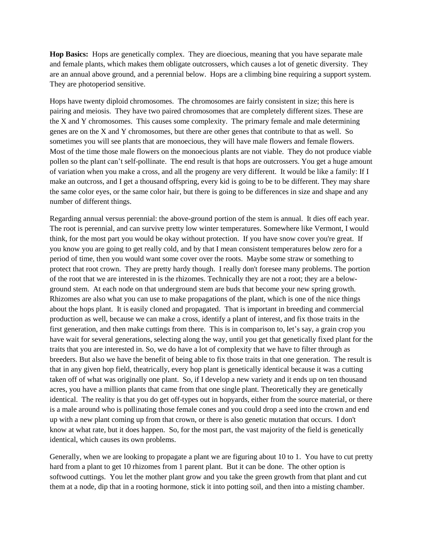**Hop Basics:** Hops are genetically complex. They are dioecious, meaning that you have separate male and female plants, which makes them obligate outcrossers, which causes a lot of genetic diversity. They are an annual above ground, and a perennial below. Hops are a climbing bine requiring a support system. They are photoperiod sensitive.

Hops have twenty diploid chromosomes. The chromosomes are fairly consistent in size; this here is pairing and meiosis. They have two paired chromosomes that are completely different sizes. These are the X and Y chromosomes. This causes some complexity. The primary female and male determining genes are on the X and Y chromosomes, but there are other genes that contribute to that as well. So sometimes you will see plants that are monoecious, they will have male flowers and female flowers. Most of the time those male flowers on the monoecious plants are not viable. They do not produce viable pollen so the plant can't self-pollinate. The end result is that hops are outcrossers. You get a huge amount of variation when you make a cross, and all the progeny are very different. It would be like a family: If I make an outcross, and I get a thousand offspring, every kid is going to be to be different. They may share the same color eyes, or the same color hair, but there is going to be differences in size and shape and any number of different things.

Regarding annual versus perennial: the above-ground portion of the stem is annual. It dies off each year. The root is perennial, and can survive pretty low winter temperatures. Somewhere like Vermont, I would think, for the most part you would be okay without protection. If you have snow cover you're great. If you know you are going to get really cold, and by that I mean consistent temperatures below zero for a period of time, then you would want some cover over the roots. Maybe some straw or something to protect that root crown. They are pretty hardy though. I really don't foresee many problems. The portion of the root that we are interested in is the rhizomes. Technically they are not a root; they are a belowground stem. At each node on that underground stem are buds that become your new spring growth. Rhizomes are also what you can use to make propagations of the plant, which is one of the nice things about the hops plant. It is easily cloned and propagated. That is important in breeding and commercial production as well, because we can make a cross, identify a plant of interest, and fix those traits in the first generation, and then make cuttings from there. This is in comparison to, let's say, a grain crop you have wait for several generations, selecting along the way, until you get that genetically fixed plant for the traits that you are interested in. So, we do have a lot of complexity that we have to filter through as breeders. But also we have the benefit of being able to fix those traits in that one generation. The result is that in any given hop field, theatrically, every hop plant is genetically identical because it was a cutting taken off of what was originally one plant. So, if I develop a new variety and it ends up on ten thousand acres, you have a million plants that came from that one single plant. Theoretically they are genetically identical. The reality is that you do get off-types out in hopyards, either from the source material, or there is a male around who is pollinating those female cones and you could drop a seed into the crown and end up with a new plant coming up from that crown, or there is also genetic mutation that occurs. I don't know at what rate, but it does happen. So, for the most part, the vast majority of the field is genetically identical, which causes its own problems.

Generally, when we are looking to propagate a plant we are figuring about 10 to 1. You have to cut pretty hard from a plant to get 10 rhizomes from 1 parent plant. But it can be done. The other option is softwood cuttings. You let the mother plant grow and you take the green growth from that plant and cut them at a node, dip that in a rooting hormone, stick it into potting soil, and then into a misting chamber.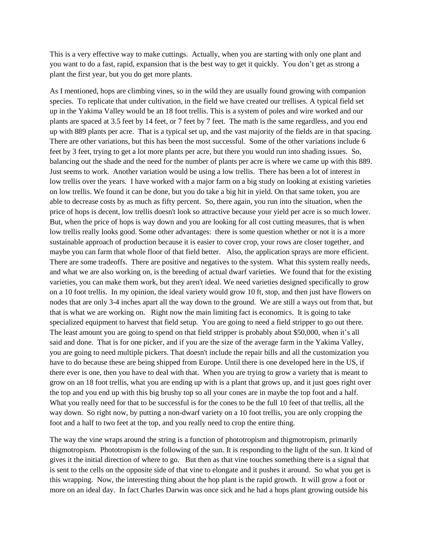This is a very effective way to make cuttings. Actually, when you are starting with only one plant and you want to do a fast, rapid, expansion that is the best way to get it quickly. You don't get as strong a plant the first year, but you do get more plants.

As I mentioned, hops are climbing vines, so in the wild they are usually found growing with companion species. To replicate that under cultivation, in the field we have created our trellises. A typical field set up in the Yakima Valley would be an 18 foot trellis. This is a system of poles and wire worked and our plants are spaced at 3.5 feet by 14 feet, or 7 feet by 7 feet. The math is the same regardless, and you end up with 889 plants per acre. That is a typical set up, and the vast majority of the fields are in that spacing. There are other variations, but this has been the most successful. Some of the other variations include 6 feet by 3 feet, trying to get a lot more plants per acre, but there you would run into shading issues. So, balancing out the shade and the need for the number of plants per acre is where we came up with this 889. Just seems to work. Another variation would be using a low trellis. There has been a lot of interest in low trellis over the years. I have worked with a major farm on a big study on looking at existing varieties on low trellis. We found it can be done, but you do take a big hit in yield. On that same token, you are able to decrease costs by as much as fifty percent. So, there again, you run into the situation, when the price of hops is decent, low trellis doesn't look so attractive because your yield per acre is so much lower. But, when the price of hops is way down and you are looking for all cost cutting measures, that is when low trellis really looks good. Some other advantages: there is some question whether or not it is a more sustainable approach of production because it is easier to cover crop, your rows are closer together, and maybe you can farm that whole floor of that field better. Also, the application sprays are more efficient. There are some tradeoffs. There are positive and negatives to the system. What this system really needs, and what we are also working on, is the breeding of actual dwarf varieties. We found that for the existing varieties, you can make them work, but they aren't ideal. We need varieties designed specifically to grow on a 10 foot trellis. In my opinion, the ideal variety would grow 10 ft, stop, and then just have flowers on nodes that are only 3-4 inches apart all the way down to the ground. We are still a ways out from that, but that is what we are working on. Right now the main limiting fact is economics. It is going to take specialized equipment to harvest that field setup. You are going to need a field stripper to go out there. The least amount you are going to spend on that field stripper is probably about \$50,000, when it's all said and done. That is for one picker, and if you are the size of the average farm in the Yakima Valley, you are going to need multiple pickers. That doesn't include the repair bills and all the customization you have to do because these are being shipped from Europe. Until there is one developed here in the US, if there ever is one, then you have to deal with that. When you are trying to grow a variety that is meant to grow on an 18 foot trellis, what you are ending up with is a plant that grows up, and it just goes right over the top and you end up with this big brushy top so all your cones are in maybe the top foot and a half. What you really need for that to be successful is for the cones to be the full 10 feet of that trellis, all the way down. So right now, by putting a non-dwarf variety on a 10 foot trellis, you are only cropping the foot and a half to two feet at the top, and you really need to crop the entire thing.

The way the vine wraps around the string is a function of phototropism and thigmotropism, primarily thigmotropism. Phototropism is the following of the sun. It is responding to the light of the sun. It kind of gives it the initial direction of where to go. But then as that vine touches something there is a signal that is sent to the cells on the opposite side of that vine to elongate and it pushes it around. So what you get is this wrapping. Now, the interesting thing about the hop plant is the rapid growth. It will grow a foot or more on an ideal day. In fact Charles Darwin was once sick and he had a hops plant growing outside his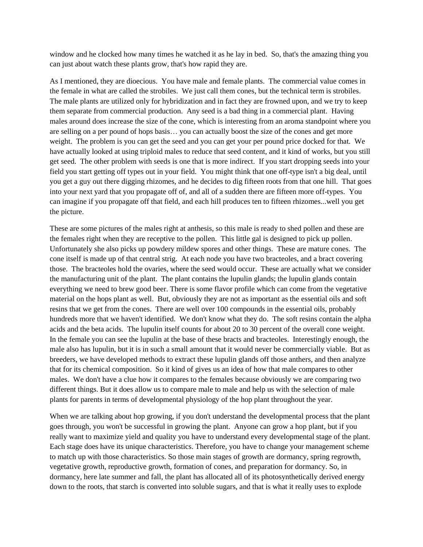window and he clocked how many times he watched it as he lay in bed. So, that's the amazing thing you can just about watch these plants grow, that's how rapid they are.

As I mentioned, they are dioecious. You have male and female plants. The commercial value comes in the female in what are called the strobiles. We just call them cones, but the technical term is strobiles. The male plants are utilized only for hybridization and in fact they are frowned upon, and we try to keep them separate from commercial production. Any seed is a bad thing in a commercial plant. Having males around does increase the size of the cone, which is interesting from an aroma standpoint where you are selling on a per pound of hops basis… you can actually boost the size of the cones and get more weight. The problem is you can get the seed and you can get your per pound price docked for that. We have actually looked at using triploid males to reduce that seed content, and it kind of works, but you still get seed. The other problem with seeds is one that is more indirect. If you start dropping seeds into your field you start getting off types out in your field. You might think that one off-type isn't a big deal, until you get a guy out there digging rhizomes, and he decides to dig fifteen roots from that one hill. That goes into your next yard that you propagate off of, and all of a sudden there are fifteen more off-types. You can imagine if you propagate off that field, and each hill produces ten to fifteen rhizomes...well you get the picture.

These are some pictures of the males right at anthesis, so this male is ready to shed pollen and these are the females right when they are receptive to the pollen. This little gal is designed to pick up pollen. Unfortunately she also picks up powdery mildew spores and other things. These are mature cones. The cone itself is made up of that central strig. At each node you have two bracteoles, and a bract covering those. The bracteoles hold the ovaries, where the seed would occur. These are actually what we consider the manufacturing unit of the plant. The plant contains the lupulin glands; the lupulin glands contain everything we need to brew good beer. There is some flavor profile which can come from the vegetative material on the hops plant as well. But, obviously they are not as important as the essential oils and soft resins that we get from the cones. There are well over 100 compounds in the essential oils, probably hundreds more that we haven't identified. We don't know what they do. The soft resins contain the alpha acids and the beta acids. The lupulin itself counts for about 20 to 30 percent of the overall cone weight. In the female you can see the lupulin at the base of these bracts and bracteoles. Interestingly enough, the male also has lupulin, but it is in such a small amount that it would never be commercially viable. But as breeders, we have developed methods to extract these lupulin glands off those anthers, and then analyze that for its chemical composition. So it kind of gives us an idea of how that male compares to other males. We don't have a clue how it compares to the females because obviously we are comparing two different things. But it does allow us to compare male to male and help us with the selection of male plants for parents in terms of developmental physiology of the hop plant throughout the year.

When we are talking about hop growing, if you don't understand the developmental process that the plant goes through, you won't be successful in growing the plant. Anyone can grow a hop plant, but if you really want to maximize yield and quality you have to understand every developmental stage of the plant. Each stage does have its unique characteristics. Therefore, you have to change your management scheme to match up with those characteristics. So those main stages of growth are dormancy, spring regrowth, vegetative growth, reproductive growth, formation of cones, and preparation for dormancy. So, in dormancy, here late summer and fall, the plant has allocated all of its photosynthetically derived energy down to the roots, that starch is converted into soluble sugars, and that is what it really uses to explode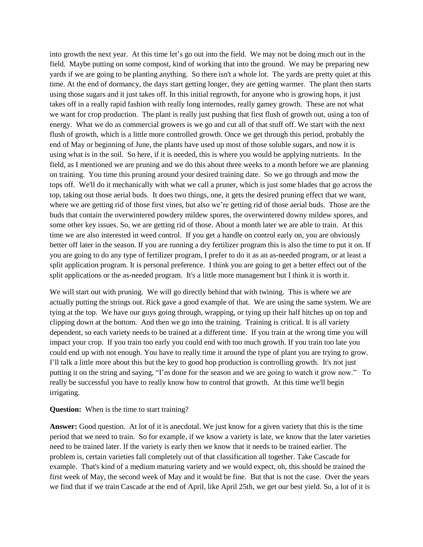into growth the next year. At this time let's go out into the field. We may not be doing much out in the field. Maybe putting on some compost, kind of working that into the ground. We may be preparing new yards if we are going to be planting anything. So there isn't a whole lot. The yards are pretty quiet at this time. At the end of dormancy, the days start getting longer, they are getting warmer. The plant then starts using those sugars and it just takes off. In this initial regrowth, for anyone who is growing hops, it just takes off in a really rapid fashion with really long internodes, really gamey growth. These are not what we want for crop production. The plant is really just pushing that first flush of growth out, using a ton of energy. What we do as commercial growers is we go and cut all of that stuff off. We start with the next flush of growth, which is a little more controlled growth. Once we get through this period, probably the end of May or beginning of June, the plants have used up most of those soluble sugars, and now it is using what is in the soil. So here, if it is needed, this is where you would be applying nutrients. In the field, as I mentioned we are pruning and we do this about three weeks to a month before we are planning on training. You time this pruning around your desired training date. So we go through and mow the tops off. We'll do it mechanically with what we call a pruner, which is just some blades that go across the top, taking out those aerial buds. It does two things, one, it gets the desired pruning effect that we want, where we are getting rid of those first vines, but also we're getting rid of those aerial buds. Those are the buds that contain the overwintered powdery mildew spores, the overwintered downy mildew spores, and some other key issues. So, we are getting rid of those. About a month later we are able to train. At this time we are also interested in weed control. If you get a handle on control early on, you are obviously better off later in the season. If you are running a dry fertilizer program this is also the time to put it on. If you are going to do any type of fertilizer program, I prefer to do it as an as-needed program, or at least a split application program. It is personal preference. I think you are going to get a better effect out of the split applications or the as-needed program. It's a little more management but I think it is worth it.

We will start out with pruning. We will go directly behind that with twining. This is where we are actually putting the strings out. Rick gave a good example of that. We are using the same system. We are tying at the top. We have our guys going through, wrapping, or tying up their half hitches up on top and clipping down at the bottom. And then we go into the training. Training is critical. It is all variety dependent, so each variety needs to be trained at a different time. If you train at the wrong time you will impact your crop. If you train too early you could end with too much growth. If you train too late you could end up with not enough. You have to really time it around the type of plant you are trying to grow. I'll talk a little more about this but the key to good hop production is controlling growth. It's not just putting it on the string and saying, "I'm done for the season and we are going to watch it grow now." To really be successful you have to really know how to control that growth. At this time we'll begin irrigating.

#### **Question:** When is the time to start training?

**Answer:** Good question. At lot of it is anecdotal. We just know for a given variety that this is the time period that we need to train. So for example, if we know a variety is late, we know that the later varieties need to be trained later. If the variety is early then we know that it needs to be trained earlier. The problem is, certain varieties fall completely out of that classification all together. Take Cascade for example. That's kind of a medium maturing variety and we would expect, oh, this should be trained the first week of May, the second week of May and it would be fine. But that is not the case. Over the years we find that if we train Cascade at the end of April, like April 25th, we get our best yield. So, a lot of it is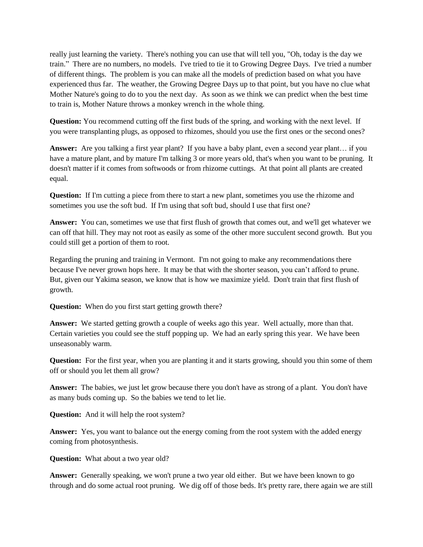really just learning the variety. There's nothing you can use that will tell you, "Oh, today is the day we train." There are no numbers, no models. I've tried to tie it to Growing Degree Days. I've tried a number of different things. The problem is you can make all the models of prediction based on what you have experienced thus far. The weather, the Growing Degree Days up to that point, but you have no clue what Mother Nature's going to do to you the next day. As soon as we think we can predict when the best time to train is, Mother Nature throws a monkey wrench in the whole thing.

**Question:** You recommend cutting off the first buds of the spring, and working with the next level. If you were transplanting plugs, as opposed to rhizomes, should you use the first ones or the second ones?

**Answer:** Are you talking a first year plant?If you have a baby plant, even a second year plant… if you have a mature plant, and by mature I'm talking 3 or more years old, that's when you want to be pruning. It doesn't matter if it comes from softwoods or from rhizome cuttings. At that point all plants are created equal.

**Question:** If I'm cutting a piece from there to start a new plant, sometimes you use the rhizome and sometimes you use the soft bud. If I'm using that soft bud, should I use that first one?

**Answer:** You can, sometimes we use that first flush of growth that comes out, and we'll get whatever we can off that hill. They may not root as easily as some of the other more succulent second growth. But you could still get a portion of them to root.

Regarding the pruning and training in Vermont. I'm not going to make any recommendations there because I've never grown hops here. It may be that with the shorter season, you can't afford to prune. But, given our Yakima season, we know that is how we maximize yield. Don't train that first flush of growth.

**Question:** When do you first start getting growth there?

**Answer:** We started getting growth a couple of weeks ago this year. Well actually, more than that. Certain varieties you could see the stuff popping up. We had an early spring this year. We have been unseasonably warm.

**Question:** For the first year, when you are planting it and it starts growing, should you thin some of them off or should you let them all grow?

**Answer:** The babies, we just let grow because there you don't have as strong of a plant. You don't have as many buds coming up. So the babies we tend to let lie.

**Question:** And it will help the root system?

**Answer:** Yes, you want to balance out the energy coming from the root system with the added energy coming from photosynthesis.

**Question:** What about a two year old?

**Answer:** Generally speaking, we won't prune a two year old either. But we have been known to go through and do some actual root pruning. We dig off of those beds. It's pretty rare, there again we are still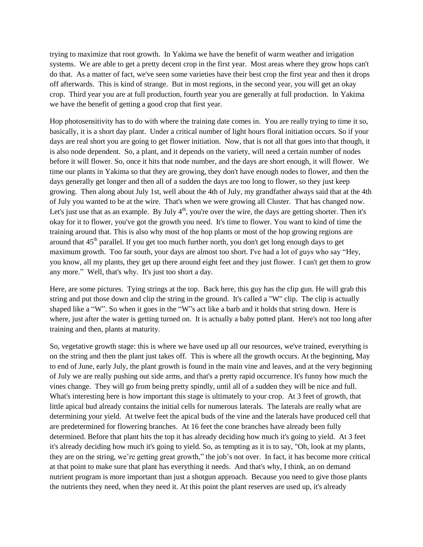trying to maximize that root growth. In Yakima we have the benefit of warm weather and irrigation systems. We are able to get a pretty decent crop in the first year. Most areas where they grow hops can't do that. As a matter of fact, we've seen some varieties have their best crop the first year and then it drops off afterwards. This is kind of strange. But in most regions, in the second year, you will get an okay crop. Third year you are at full production, fourth year you are generally at full production. In Yakima we have the benefit of getting a good crop that first year.

Hop photosensitivity has to do with where the training date comes in. You are really trying to time it so, basically, it is a short day plant. Under a critical number of light hours floral initiation occurs. So if your days are real short you are going to get flower initiation. Now, that is not all that goes into that though, it is also node dependent. So, a plant, and it depends on the variety, will need a certain number of nodes before it will flower. So, once it hits that node number, and the days are short enough, it will flower. We time our plants in Yakima so that they are growing, they don't have enough nodes to flower, and then the days generally get longer and then all of a sudden the days are too long to flower, so they just keep growing. Then along about July 1st, well about the 4th of July, my grandfather always said that at the 4th of July you wanted to be at the wire. That's when we were growing all Cluster. That has changed now. Let's just use that as an example. By July  $4<sup>th</sup>$ , you're over the wire, the days are getting shorter. Then it's okay for it to flower, you've got the growth you need. It's time to flower. You want to kind of time the training around that. This is also why most of the hop plants or most of the hop growing regions are around that 45<sup>th</sup> parallel. If you get too much further north, you don't get long enough days to get maximum growth. Too far south, your days are almost too short. I've had a lot of guys who say "Hey, you know, all my plants, they get up there around eight feet and they just flower. I can't get them to grow any more." Well, that's why. It's just too short a day.

Here, are some pictures. Tying strings at the top. Back here, this guy has the clip gun. He will grab this string and put those down and clip the string in the ground. It's called a "W" clip. The clip is actually shaped like a "W". So when it goes in the "W"s act like a barb and it holds that string down. Here is where, just after the water is getting turned on. It is actually a baby potted plant. Here's not too long after training and then, plants at maturity.

So, vegetative growth stage: this is where we have used up all our resources, we've trained, everything is on the string and then the plant just takes off. This is where all the growth occurs. At the beginning, May to end of June, early July, the plant growth is found in the main vine and leaves, and at the very beginning of July we are really pushing out side arms, and that's a pretty rapid occurrence. It's funny how much the vines change. They will go from being pretty spindly, until all of a sudden they will be nice and full. What's interesting here is how important this stage is ultimately to your crop. At 3 feet of growth, that little apical bud already contains the initial cells for numerous laterals. The laterals are really what are determining your yield. At twelve feet the apical buds of the vine and the laterals have produced cell that are predetermined for flowering branches. At 16 feet the cone branches have already been fully determined. Before that plant hits the top it has already deciding how much it's going to yield. At 3 feet it's already deciding how much it's going to yield. So, as tempting as it is to say, "Oh, look at my plants, they are on the string, we're getting great growth," the job's not over. In fact, it has become more critical at that point to make sure that plant has everything it needs. And that's why, I think, an on demand nutrient program is more important than just a shotgun approach. Because you need to give those plants the nutrients they need, when they need it. At this point the plant reserves are used up, it's already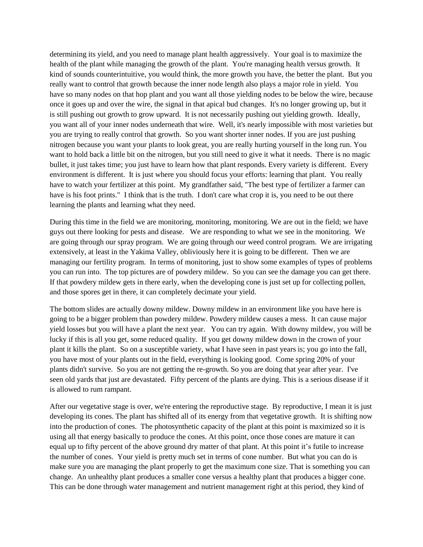determining its yield, and you need to manage plant health aggressively. Your goal is to maximize the health of the plant while managing the growth of the plant. You're managing health versus growth. It kind of sounds counterintuitive, you would think, the more growth you have, the better the plant. But you really want to control that growth because the inner node length also plays a major role in yield. You have so many nodes on that hop plant and you want all those yielding nodes to be below the wire, because once it goes up and over the wire, the signal in that apical bud changes. It's no longer growing up, but it is still pushing out growth to grow upward. It is not necessarily pushing out yielding growth. Ideally, you want all of your inner nodes underneath that wire. Well, it's nearly impossible with most varieties but you are trying to really control that growth. So you want shorter inner nodes. If you are just pushing nitrogen because you want your plants to look great, you are really hurting yourself in the long run. You want to hold back a little bit on the nitrogen, but you still need to give it what it needs. There is no magic bullet, it just takes time; you just have to learn how that plant responds. Every variety is different. Every environment is different. It is just where you should focus your efforts: learning that plant. You really have to watch your fertilizer at this point. My grandfather said, "The best type of fertilizer a farmer can have is his foot prints." I think that is the truth. I don't care what crop it is, you need to be out there learning the plants and learning what they need.

During this time in the field we are monitoring, monitoring, monitoring. We are out in the field; we have guys out there looking for pests and disease. We are responding to what we see in the monitoring. We are going through our spray program. We are going through our weed control program. We are irrigating extensively, at least in the Yakima Valley, obliviously here it is going to be different. Then we are managing our fertility program. In terms of monitoring, just to show some examples of types of problems you can run into. The top pictures are of powdery mildew. So you can see the damage you can get there. If that powdery mildew gets in there early, when the developing cone is just set up for collecting pollen, and those spores get in there, it can completely decimate your yield.

The bottom slides are actually downy mildew. Downy mildew in an environment like you have here is going to be a bigger problem than powdery mildew. Powdery mildew causes a mess. It can cause major yield losses but you will have a plant the next year. You can try again. With downy mildew, you will be lucky if this is all you get, some reduced quality. If you get downy mildew down in the crown of your plant it kills the plant. So on a susceptible variety, what I have seen in past years is; you go into the fall, you have most of your plants out in the field, everything is looking good. Come spring 20% of your plants didn't survive. So you are not getting the re-growth. So you are doing that year after year. I've seen old yards that just are devastated. Fifty percent of the plants are dying. This is a serious disease if it is allowed to rum rampant.

After our vegetative stage is over, we're entering the reproductive stage. By reproductive, I mean it is just developing its cones. The plant has shifted all of its energy from that vegetative growth. It is shifting now into the production of cones. The photosynthetic capacity of the plant at this point is maximized so it is using all that energy basically to produce the cones. At this point, once those cones are mature it can equal up to fifty percent of the above ground dry matter of that plant. At this point it's futile to increase the number of cones. Your yield is pretty much set in terms of cone number. But what you can do is make sure you are managing the plant properly to get the maximum cone size. That is something you can change. An unhealthy plant produces a smaller cone versus a healthy plant that produces a bigger cone. This can be done through water management and nutrient management right at this period, they kind of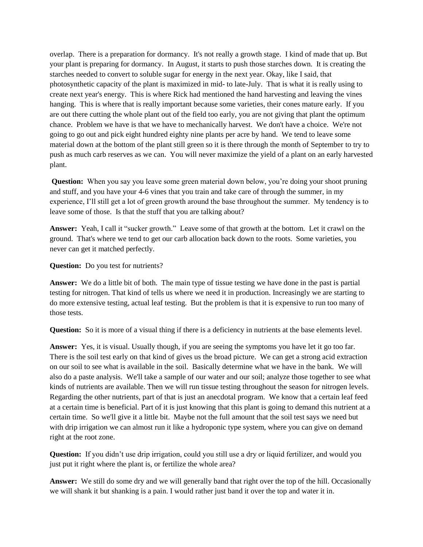overlap. There is a preparation for dormancy. It's not really a growth stage. I kind of made that up. But your plant is preparing for dormancy. In August, it starts to push those starches down. It is creating the starches needed to convert to soluble sugar for energy in the next year. Okay, like I said, that photosynthetic capacity of the plant is maximized in mid- to late-July. That is what it is really using to create next year's energy. This is where Rick had mentioned the hand harvesting and leaving the vines hanging. This is where that is really important because some varieties, their cones mature early. If you are out there cutting the whole plant out of the field too early, you are not giving that plant the optimum chance. Problem we have is that we have to mechanically harvest. We don't have a choice. We're not going to go out and pick eight hundred eighty nine plants per acre by hand. We tend to leave some material down at the bottom of the plant still green so it is there through the month of September to try to push as much carb reserves as we can. You will never maximize the yield of a plant on an early harvested plant.

**Question:** When you say you leave some green material down below, you're doing your shoot pruning and stuff, and you have your 4-6 vines that you train and take care of through the summer, in my experience, I'll still get a lot of green growth around the base throughout the summer. My tendency is to leave some of those. Is that the stuff that you are talking about?

**Answer:** Yeah, I call it "sucker growth." Leave some of that growth at the bottom. Let it crawl on the ground. That's where we tend to get our carb allocation back down to the roots. Some varieties, you never can get it matched perfectly.

**Question:** Do you test for nutrients?

**Answer:** We do a little bit of both. The main type of tissue testing we have done in the past is partial testing for nitrogen. That kind of tells us where we need it in production. Increasingly we are starting to do more extensive testing, actual leaf testing. But the problem is that it is expensive to run too many of those tests.

**Question:** So it is more of a visual thing if there is a deficiency in nutrients at the base elements level.

**Answer:** Yes, it is visual. Usually though, if you are seeing the symptoms you have let it go too far. There is the soil test early on that kind of gives us the broad picture. We can get a strong acid extraction on our soil to see what is available in the soil. Basically determine what we have in the bank. We will also do a paste analysis. We'll take a sample of our water and our soil; analyze those together to see what kinds of nutrients are available. Then we will run tissue testing throughout the season for nitrogen levels. Regarding the other nutrients, part of that is just an anecdotal program. We know that a certain leaf feed at a certain time is beneficial. Part of it is just knowing that this plant is going to demand this nutrient at a certain time. So we'll give it a little bit. Maybe not the full amount that the soil test says we need but with drip irrigation we can almost run it like a hydroponic type system, where you can give on demand right at the root zone.

**Question:** If you didn't use drip irrigation, could you still use a dry or liquid fertilizer, and would you just put it right where the plant is, or fertilize the whole area?

**Answer:** We still do some dry and we will generally band that right over the top of the hill. Occasionally we will shank it but shanking is a pain. I would rather just band it over the top and water it in.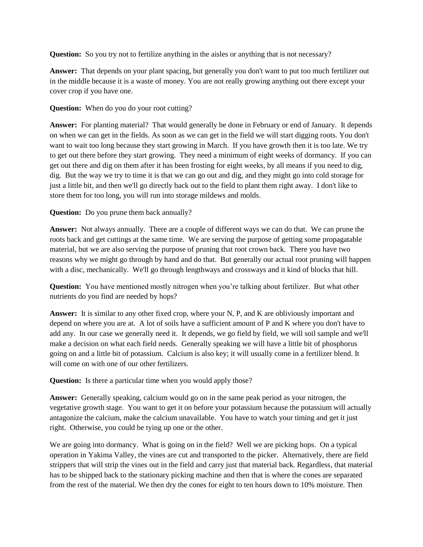**Question:** So you try not to fertilize anything in the aisles or anything that is not necessary?

**Answer:** That depends on your plant spacing, but generally you don't want to put too much fertilizer out in the middle because it is a waste of money. You are not really growing anything out there except your cover crop if you have one.

**Question:** When do you do your root cutting?

**Answer:** For planting material? That would generally be done in February or end of January. It depends on when we can get in the fields. As soon as we can get in the field we will start digging roots. You don't want to wait too long because they start growing in March. If you have growth then it is too late. We try to get out there before they start growing. They need a minimum of eight weeks of dormancy. If you can get out there and dig on them after it has been frosting for eight weeks, by all means if you need to dig, dig. But the way we try to time it is that we can go out and dig, and they might go into cold storage for just a little bit, and then we'll go directly back out to the field to plant them right away. I don't like to store them for too long, you will run into storage mildews and molds.

**Question:** Do you prune them back annually?

**Answer:** Not always annually. There are a couple of different ways we can do that. We can prune the roots back and get cuttings at the same time. We are serving the purpose of getting some propagatable material, but we are also serving the purpose of pruning that root crown back. There you have two reasons why we might go through by hand and do that. But generally our actual root pruning will happen with a disc, mechanically. We'll go through lengthways and crossways and it kind of blocks that hill.

**Question:** You have mentioned mostly nitrogen when you're talking about fertilizer. But what other nutrients do you find are needed by hops?

**Answer:** It is similar to any other fixed crop, where your N, P, and K are obliviously important and depend on where you are at. A lot of soils have a sufficient amount of P and K where you don't have to add any. In our case we generally need it. It depends, we go field by field, we will soil sample and we'll make a decision on what each field needs. Generally speaking we will have a little bit of phosphorus going on and a little bit of potassium. Calcium is also key; it will usually come in a fertilizer blend. It will come on with one of our other fertilizers.

**Question:** Is there a particular time when you would apply those?

**Answer:** Generally speaking, calcium would go on in the same peak period as your nitrogen, the vegetative growth stage. You want to get it on before your potassium because the potassium will actually antagonize the calcium, make the calcium unavailable. You have to watch your timing and get it just right. Otherwise, you could be tying up one or the other.

We are going into dormancy. What is going on in the field? Well we are picking hops. On a typical operation in Yakima Valley, the vines are cut and transported to the picker. Alternatively, there are field strippers that will strip the vines out in the field and carry just that material back. Regardless, that material has to be shipped back to the stationary picking machine and then that is where the cones are separated from the rest of the material. We then dry the cones for eight to ten hours down to 10% moisture. Then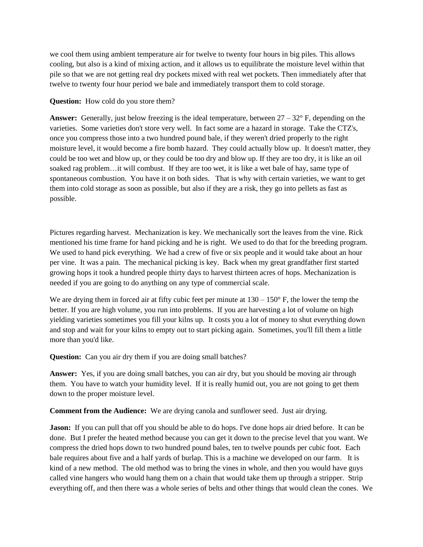we cool them using ambient temperature air for twelve to twenty four hours in big piles. This allows cooling, but also is a kind of mixing action, and it allows us to equilibrate the moisture level within that pile so that we are not getting real dry pockets mixed with real wet pockets. Then immediately after that twelve to twenty four hour period we bale and immediately transport them to cold storage.

**Question:** How cold do you store them?

**Answer:** Generally, just below freezing is the ideal temperature, between 27 – 32° F, depending on the varieties. Some varieties don't store very well. In fact some are a hazard in storage. Take the CTZ's, once you compress those into a two hundred pound bale, if they weren't dried properly to the right moisture level, it would become a fire bomb hazard. They could actually blow up. It doesn't matter, they could be too wet and blow up, or they could be too dry and blow up. If they are too dry, it is like an oil soaked rag problem…it will combust. If they are too wet, it is like a wet bale of hay, same type of spontaneous combustion. You have it on both sides. That is why with certain varieties, we want to get them into cold storage as soon as possible, but also if they are a risk, they go into pellets as fast as possible.

Pictures regarding harvest. Mechanization is key. We mechanically sort the leaves from the vine. Rick mentioned his time frame for hand picking and he is right. We used to do that for the breeding program. We used to hand pick everything. We had a crew of five or six people and it would take about an hour per vine. It was a pain. The mechanical picking is key. Back when my great grandfather first started growing hops it took a hundred people thirty days to harvest thirteen acres of hops. Mechanization is needed if you are going to do anything on any type of commercial scale.

We are drying them in forced air at fifty cubic feet per minute at  $130 - 150^\circ$  F, the lower the temp the better. If you are high volume, you run into problems. If you are harvesting a lot of volume on high yielding varieties sometimes you fill your kilns up. It costs you a lot of money to shut everything down and stop and wait for your kilns to empty out to start picking again. Sometimes, you'll fill them a little more than you'd like.

**Question:** Can you air dry them if you are doing small batches?

**Answer:** Yes, if you are doing small batches, you can air dry, but you should be moving air through them. You have to watch your humidity level. If it is really humid out, you are not going to get them down to the proper moisture level.

**Comment from the Audience:** We are drying canola and sunflower seed. Just air drying.

**Jason:** If you can pull that off you should be able to do hops. I've done hops air dried before. It can be done. But I prefer the heated method because you can get it down to the precise level that you want. We compress the dried hops down to two hundred pound bales, ten to twelve pounds per cubic foot. Each bale requires about five and a half yards of burlap. This is a machine we developed on our farm. It is kind of a new method. The old method was to bring the vines in whole, and then you would have guys called vine hangers who would hang them on a chain that would take them up through a stripper. Strip everything off, and then there was a whole series of belts and other things that would clean the cones. We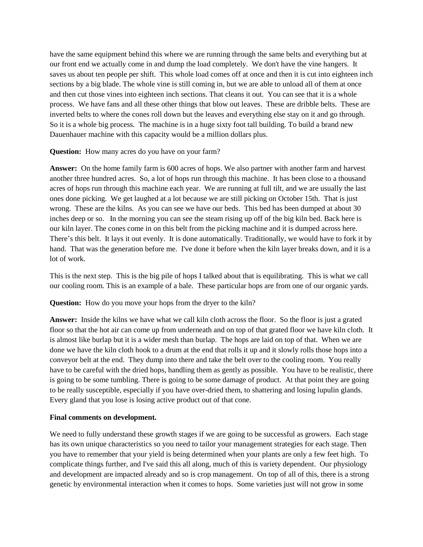have the same equipment behind this where we are running through the same belts and everything but at our front end we actually come in and dump the load completely. We don't have the vine hangers. It saves us about ten people per shift. This whole load comes off at once and then it is cut into eighteen inch sections by a big blade. The whole vine is still coming in, but we are able to unload all of them at once and then cut those vines into eighteen inch sections. That cleans it out. You can see that it is a whole process. We have fans and all these other things that blow out leaves. These are dribble belts. These are inverted belts to where the cones roll down but the leaves and everything else stay on it and go through. So it is a whole big process. The machine is in a huge sixty foot tall building. To build a brand new Dauenhauer machine with this capacity would be a million dollars plus.

**Question:** How many acres do you have on your farm?

**Answer:** On the home family farm is 600 acres of hops. We also partner with another farm and harvest another three hundred acres. So, a lot of hops run through this machine. It has been close to a thousand acres of hops run through this machine each year. We are running at full tilt, and we are usually the last ones done picking. We get laughed at a lot because we are still picking on October 15th. That is just wrong. These are the kilns. As you can see we have our beds. This bed has been dumped at about 30 inches deep or so. In the morning you can see the steam rising up off of the big kiln bed. Back here is our kiln layer. The cones come in on this belt from the picking machine and it is dumped across here. There's this belt. It lays it out evenly. It is done automatically. Traditionally, we would have to fork it by hand. That was the generation before me. I've done it before when the kiln layer breaks down, and it is a lot of work.

This is the next step. This is the big pile of hops I talked about that is equilibrating. This is what we call our cooling room. This is an example of a bale. These particular hops are from one of our organic yards.

**Question:** How do you move your hops from the dryer to the kiln?

**Answer:** Inside the kilns we have what we call kiln cloth across the floor. So the floor is just a grated floor so that the hot air can come up from underneath and on top of that grated floor we have kiln cloth. It is almost like burlap but it is a wider mesh than burlap. The hops are laid on top of that. When we are done we have the kiln cloth hook to a drum at the end that rolls it up and it slowly rolls those hops into a conveyor belt at the end. They dump into there and take the belt over to the cooling room. You really have to be careful with the dried hops, handling them as gently as possible. You have to be realistic, there is going to be some tumbling. There is going to be some damage of product. At that point they are going to be really susceptible, especially if you have over-dried them, to shattering and losing lupulin glands. Every gland that you lose is losing active product out of that cone.

## **Final comments on development.**

We need to fully understand these growth stages if we are going to be successful as growers. Each stage has its own unique characteristics so you need to tailor your management strategies for each stage. Then you have to remember that your yield is being determined when your plants are only a few feet high. To complicate things further, and I've said this all along, much of this is variety dependent. Our physiology and development are impacted already and so is crop management. On top of all of this, there is a strong genetic by environmental interaction when it comes to hops. Some varieties just will not grow in some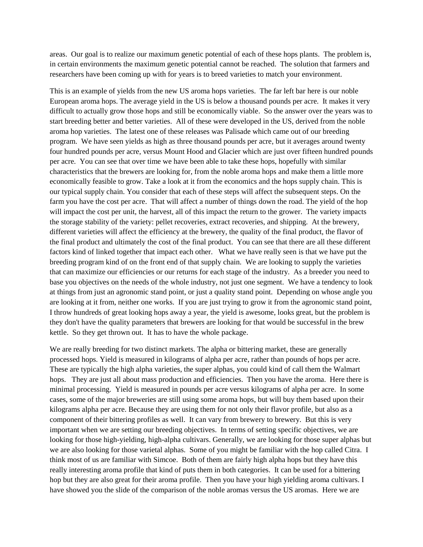areas. Our goal is to realize our maximum genetic potential of each of these hops plants. The problem is, in certain environments the maximum genetic potential cannot be reached. The solution that farmers and researchers have been coming up with for years is to breed varieties to match your environment.

This is an example of yields from the new US aroma hops varieties. The far left bar here is our noble European aroma hops. The average yield in the US is below a thousand pounds per acre. It makes it very difficult to actually grow those hops and still be economically viable. So the answer over the years was to start breeding better and better varieties. All of these were developed in the US, derived from the noble aroma hop varieties. The latest one of these releases was Palisade which came out of our breeding program. We have seen yields as high as three thousand pounds per acre, but it averages around twenty four hundred pounds per acre, versus Mount Hood and Glacier which are just over fifteen hundred pounds per acre. You can see that over time we have been able to take these hops, hopefully with similar characteristics that the brewers are looking for, from the noble aroma hops and make them a little more economically feasible to grow. Take a look at it from the economics and the hops supply chain. This is our typical supply chain. You consider that each of these steps will affect the subsequent steps. On the farm you have the cost per acre. That will affect a number of things down the road. The yield of the hop will impact the cost per unit, the harvest, all of this impact the return to the grower. The variety impacts the storage stability of the variety: pellet recoveries, extract recoveries, and shipping. At the brewery, different varieties will affect the efficiency at the brewery, the quality of the final product, the flavor of the final product and ultimately the cost of the final product. You can see that there are all these different factors kind of linked together that impact each other. What we have really seen is that we have put the breeding program kind of on the front end of that supply chain. We are looking to supply the varieties that can maximize our efficiencies or our returns for each stage of the industry. As a breeder you need to base you objectives on the needs of the whole industry, not just one segment. We have a tendency to look at things from just an agronomic stand point, or just a quality stand point. Depending on whose angle you are looking at it from, neither one works. If you are just trying to grow it from the agronomic stand point, I throw hundreds of great looking hops away a year, the yield is awesome, looks great, but the problem is they don't have the quality parameters that brewers are looking for that would be successful in the brew kettle. So they get thrown out. It has to have the whole package.

We are really breeding for two distinct markets. The alpha or bittering market, these are generally processed hops. Yield is measured in kilograms of alpha per acre, rather than pounds of hops per acre. These are typically the high alpha varieties, the super alphas, you could kind of call them the Walmart hops. They are just all about mass production and efficiencies. Then you have the aroma. Here there is minimal processing. Yield is measured in pounds per acre versus kilograms of alpha per acre. In some cases, some of the major breweries are still using some aroma hops, but will buy them based upon their kilograms alpha per acre. Because they are using them for not only their flavor profile, but also as a component of their bittering profiles as well. It can vary from brewery to brewery. But this is very important when we are setting our breeding objectives. In terms of setting specific objectives, we are looking for those high-yielding, high-alpha cultivars. Generally, we are looking for those super alphas but we are also looking for those varietal alphas. Some of you might be familiar with the hop called Citra. I think most of us are familiar with Simcoe. Both of them are fairly high alpha hops but they have this really interesting aroma profile that kind of puts them in both categories. It can be used for a bittering hop but they are also great for their aroma profile. Then you have your high yielding aroma cultivars. I have showed you the slide of the comparison of the noble aromas versus the US aromas. Here we are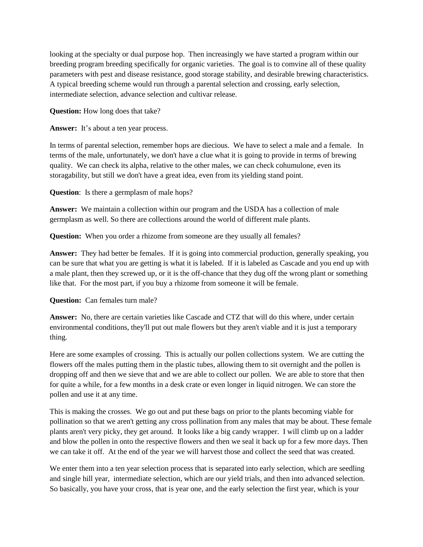looking at the specialty or dual purpose hop. Then increasingly we have started a program within our breeding program breeding specifically for organic varieties. The goal is to comvine all of these quality parameters with pest and disease resistance, good storage stability, and desirable brewing characteristics. A typical breeding scheme would run through a parental selection and crossing, early selection, intermediate selection, advance selection and cultivar release.

**Question:** How long does that take?

Answer: It's about a ten year process.

In terms of parental selection, remember hops are diecious. We have to select a male and a female. In terms of the male, unfortunately, we don't have a clue what it is going to provide in terms of brewing quality. We can check its alpha, relative to the other males, we can check cohumulone, even its storagability, but still we don't have a great idea, even from its yielding stand point.

**Question**: Is there a germplasm of male hops?

**Answer:** We maintain a collection within our program and the USDA has a collection of male germplasm as well. So there are collections around the world of different male plants.

**Question:** When you order a rhizome from someone are they usually all females?

**Answer:** They had better be females. If it is going into commercial production, generally speaking, you can be sure that what you are getting is what it is labeled. If it is labeled as Cascade and you end up with a male plant, then they screwed up, or it is the off-chance that they dug off the wrong plant or something like that. For the most part, if you buy a rhizome from someone it will be female.

## **Question:** Can females turn male?

**Answer:** No, there are certain varieties like Cascade and CTZ that will do this where, under certain environmental conditions, they'll put out male flowers but they aren't viable and it is just a temporary thing.

Here are some examples of crossing. This is actually our pollen collections system. We are cutting the flowers off the males putting them in the plastic tubes, allowing them to sit overnight and the pollen is dropping off and then we sieve that and we are able to collect our pollen. We are able to store that then for quite a while, for a few months in a desk crate or even longer in liquid nitrogen. We can store the pollen and use it at any time.

This is making the crosses. We go out and put these bags on prior to the plants becoming viable for pollination so that we aren't getting any cross pollination from any males that may be about. These female plants aren't very picky, they get around. It looks like a big candy wrapper. I will climb up on a ladder and blow the pollen in onto the respective flowers and then we seal it back up for a few more days. Then we can take it off. At the end of the year we will harvest those and collect the seed that was created.

We enter them into a ten year selection process that is separated into early selection, which are seedling and single hill year, intermediate selection, which are our yield trials, and then into advanced selection. So basically, you have your cross, that is year one, and the early selection the first year, which is your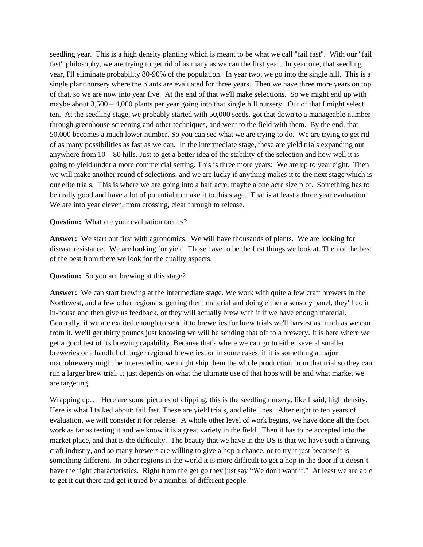seedling year. This is a high density planting which is meant to be what we call "fail fast". With our "fail fast" philosophy, we are trying to get rid of as many as we can the first year. In year one, that seedling year, I'll eliminate probability 80-90% of the population. In year two, we go into the single hill. This is a single plant nursery where the plants are evaluated for three years. Then we have three more years on top of that, so we are now into year five. At the end of that we'll make selections. So we might end up with maybe about  $3,500 - 4,000$  plants per year going into that single hill nursery. Out of that I might select ten. At the seedling stage, we probably started with 50,000 seeds, got that down to a manageable number through greenhouse screening and other techniques, and went to the field with them. By the end, that 50,000 becomes a much lower number. So you can see what we are trying to do. We are trying to get rid of as many possibilities as fast as we can. In the intermediate stage, these are yield trials expanding out anywhere from  $10 - 80$  hills. Just to get a better idea of the stability of the selection and how well it is going to yield under a more commercial setting. This is three more years: We are up to year eight. Then we will make another round of selections, and we are lucky if anything makes it to the next stage which is our elite trials. This is where we are going into a half acre, maybe a one acre size plot. Something has to be really good and have a lot of potential to make it to this stage. That is at least a three year evaluation. We are into year eleven, from crossing, clear through to release.

## **Question:** What are your evaluation tactics?

**Answer:** We start out first with agronomics. We will have thousands of plants. We are looking for disease resistance. We are looking for yield. Those have to be the first things we look at. Then of the best of the best from there we look for the quality aspects.

#### **Question:** So you are brewing at this stage?

**Answer:** We can start brewing at the intermediate stage. We work with quite a few craft brewers in the Northwest, and a few other regionals, getting them material and doing either a sensory panel, they'll do it in-house and then give us feedback, or they will actually brew with it if we have enough material. Generally, if we are excited enough to send it to breweries for brew trials we'll harvest as much as we can from it. We'll get thirty pounds just knowing we will be sending that off to a brewery. It is here where we get a good test of its brewing capability. Because that's where we can go to either several smaller breweries or a handful of larger regional breweries, or in some cases, if it is something a major macrobrewery might be interested in, we might ship them the whole production from that trial so they can run a larger brew trial. It just depends on what the ultimate use of that hops will be and what market we are targeting.

Wrapping up… Here are some pictures of clipping, this is the seedling nursery, like I said, high density. Here is what I talked about: fail fast. These are yield trials, and elite lines. After eight to ten years of evaluation, we will consider it for release. A whole other level of work begins, we have done all the foot work as far as testing it and we know it is a great variety in the field. Then it has to be accepted into the market place, and that is the difficulty. The beauty that we have in the US is that we have such a thriving craft industry, and so many brewers are willing to give a hop a chance, or to try it just because it is something different. In other regions in the world it is more difficult to get a hop in the door if it doesn't have the right characteristics. Right from the get go they just say "We don't want it." At least we are able to get it out there and get it tried by a number of different people.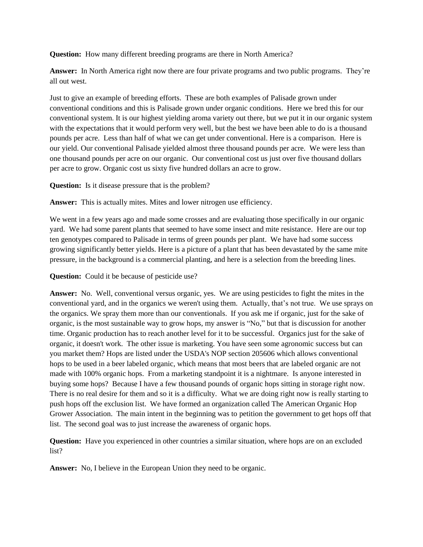**Question:** How many different breeding programs are there in North America?

**Answer:** In North America right now there are four private programs and two public programs. They're all out west.

Just to give an example of breeding efforts. These are both examples of Palisade grown under conventional conditions and this is Palisade grown under organic conditions. Here we bred this for our conventional system. It is our highest yielding aroma variety out there, but we put it in our organic system with the expectations that it would perform very well, but the best we have been able to do is a thousand pounds per acre. Less than half of what we can get under conventional. Here is a comparison. Here is our yield. Our conventional Palisade yielded almost three thousand pounds per acre. We were less than one thousand pounds per acre on our organic. Our conventional cost us just over five thousand dollars per acre to grow. Organic cost us sixty five hundred dollars an acre to grow.

**Question:** Is it disease pressure that is the problem?

**Answer:** This is actually mites. Mites and lower nitrogen use efficiency.

We went in a few years ago and made some crosses and are evaluating those specifically in our organic yard. We had some parent plants that seemed to have some insect and mite resistance. Here are our top ten genotypes compared to Palisade in terms of green pounds per plant. We have had some success growing significantly better yields. Here is a picture of a plant that has been devastated by the same mite pressure, in the background is a commercial planting, and here is a selection from the breeding lines.

**Question:** Could it be because of pesticide use?

**Answer:** No. Well, conventional versus organic, yes. We are using pesticides to fight the mites in the conventional yard, and in the organics we weren't using them. Actually, that's not true. We use sprays on the organics. We spray them more than our conventionals. If you ask me if organic, just for the sake of organic, is the most sustainable way to grow hops, my answer is "No," but that is discussion for another time. Organic production has to reach another level for it to be successful. Organics just for the sake of organic, it doesn't work. The other issue is marketing. You have seen some agronomic success but can you market them? Hops are listed under the USDA's NOP section 205606 which allows conventional hops to be used in a beer labeled organic, which means that most beers that are labeled organic are not made with 100% organic hops. From a marketing standpoint it is a nightmare. Is anyone interested in buying some hops? Because I have a few thousand pounds of organic hops sitting in storage right now. There is no real desire for them and so it is a difficulty. What we are doing right now is really starting to push hops off the exclusion list. We have formed an organization called The American Organic Hop Grower Association. The main intent in the beginning was to petition the government to get hops off that list. The second goal was to just increase the awareness of organic hops.

**Question:** Have you experienced in other countries a similar situation, where hops are on an excluded list?

**Answer:** No, I believe in the European Union they need to be organic.